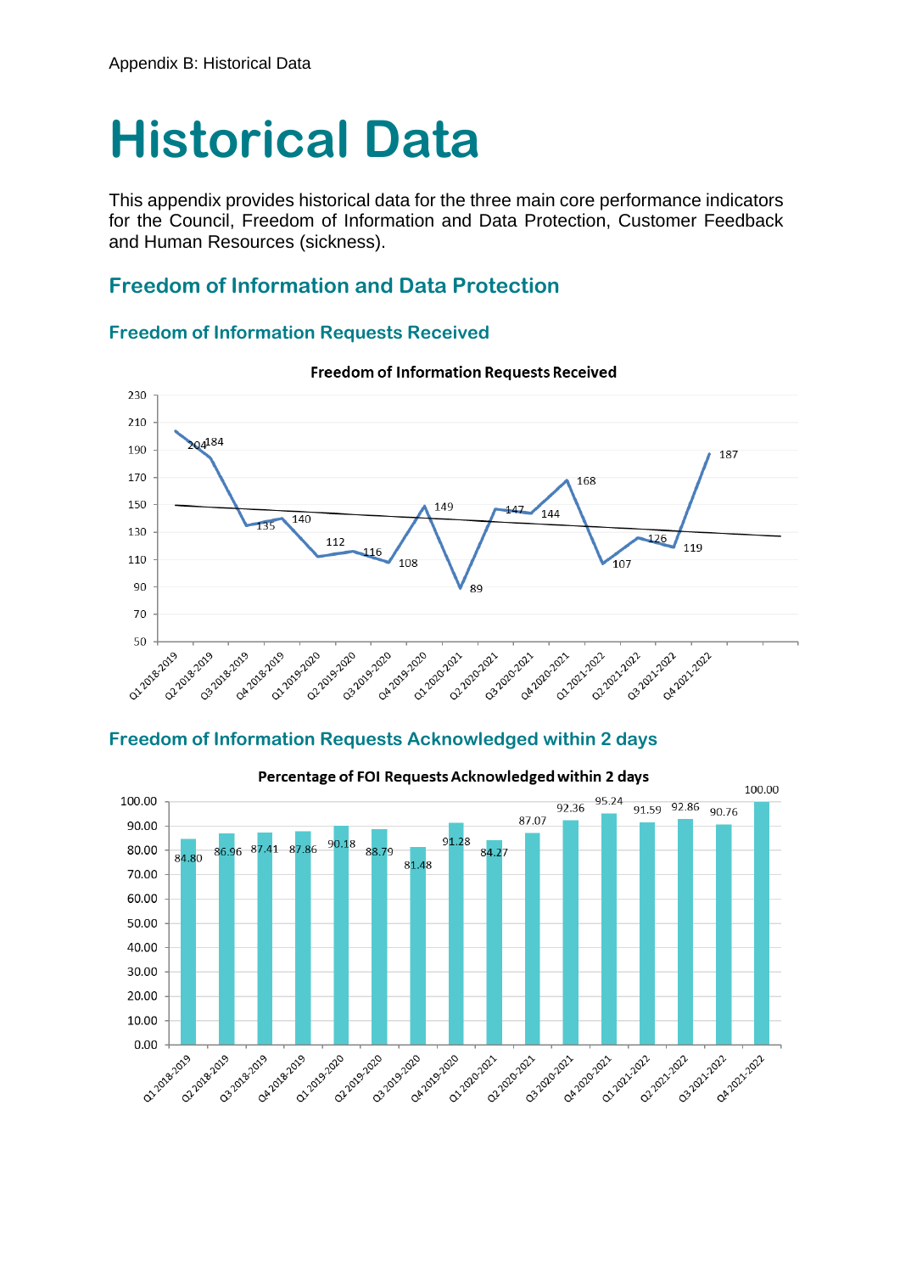# **Historical Data**

This appendix provides historical data for the three main core performance indicators for the Council, Freedom of Information and Data Protection, Customer Feedback and Human Resources (sickness).

## **Freedom of Information and Data Protection**

#### **Freedom of Information Requests Received**



#### **Freedom of Information Requests Received**

#### **Freedom of Information Requests Acknowledged within 2 days**

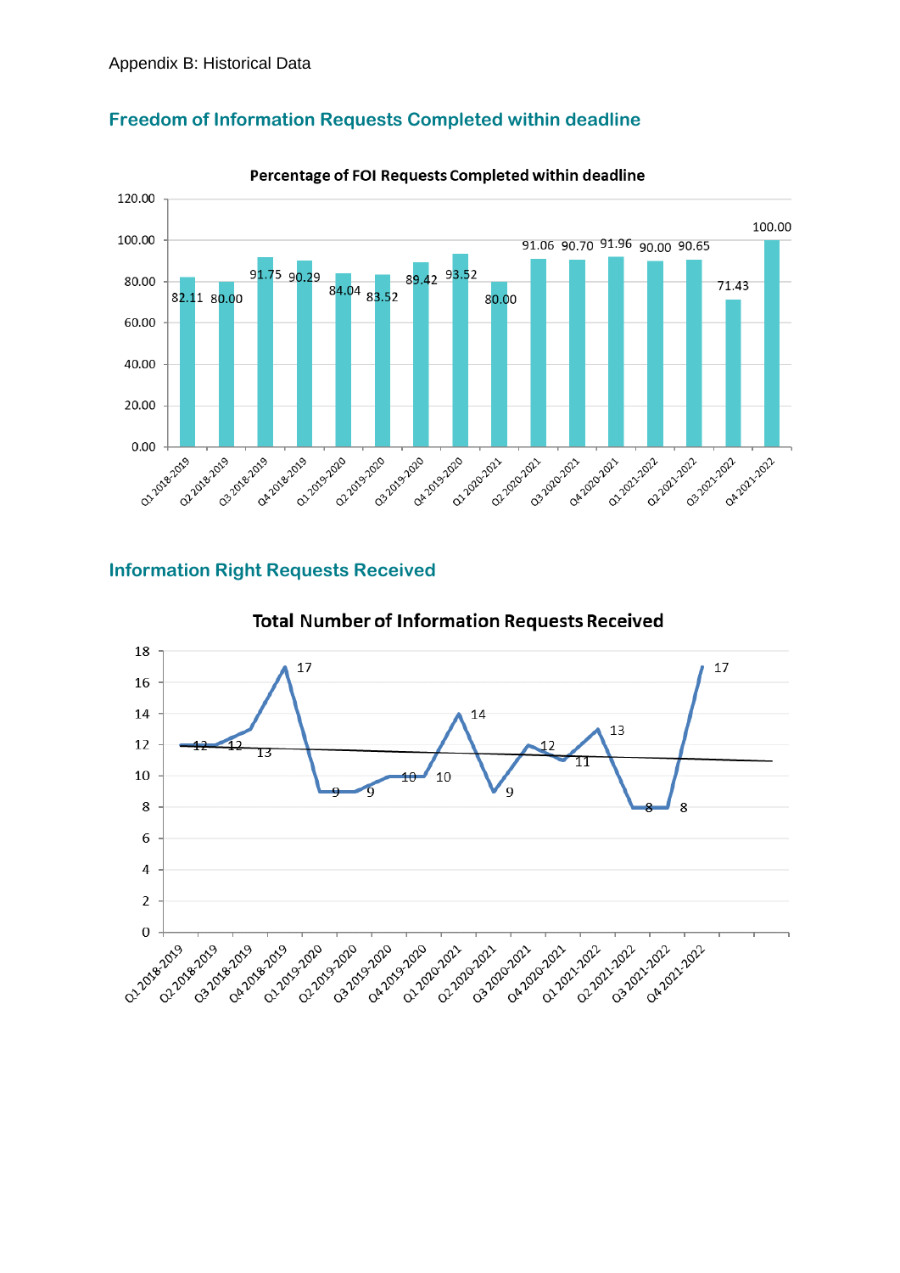

### **Freedom of Information Requests Completed within deadline**

#### Percentage of FOI Requests Completed within deadline

## **Information Right Requests Received**



**Total Number of Information Requests Received**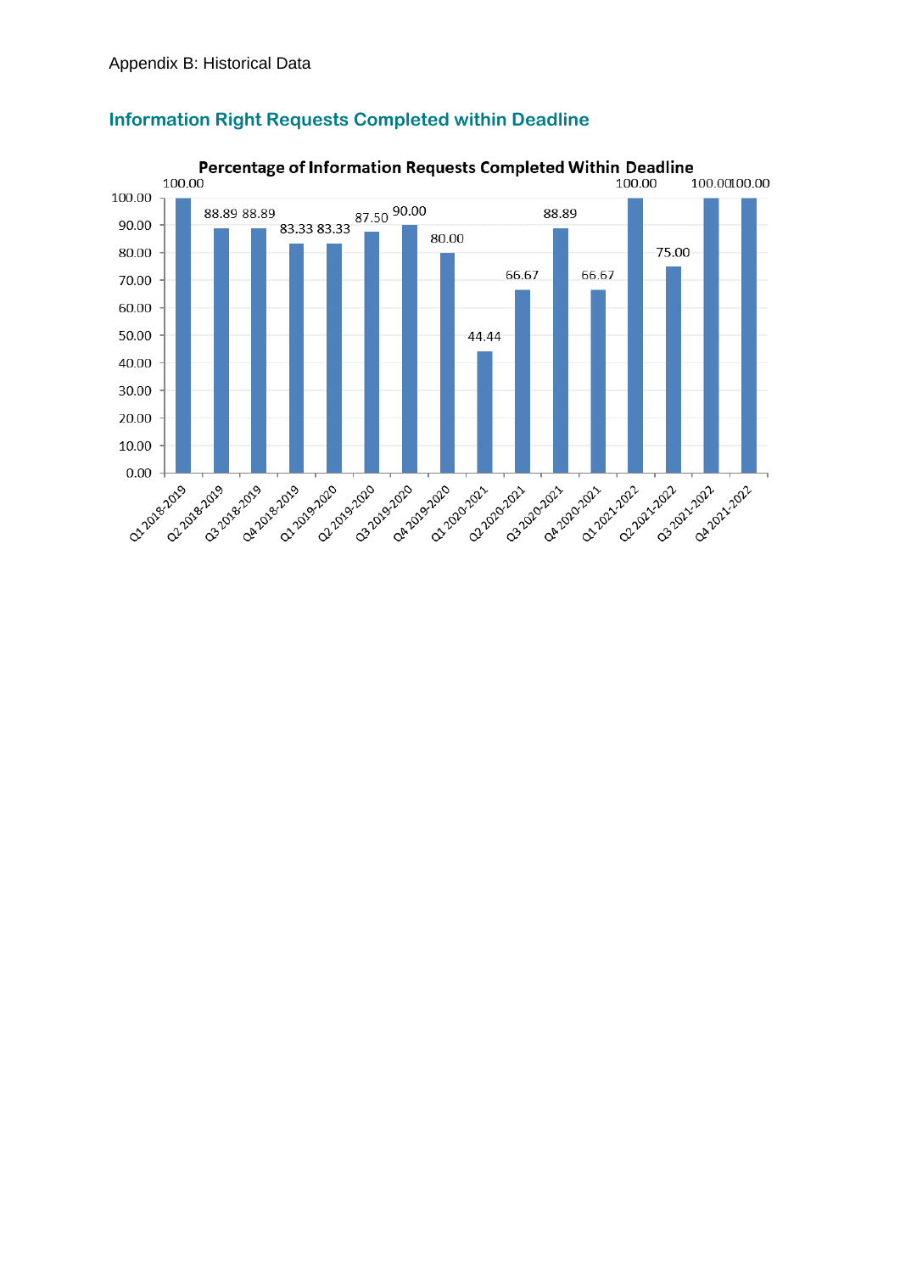

#### **Information Right Requests Completed within Deadline**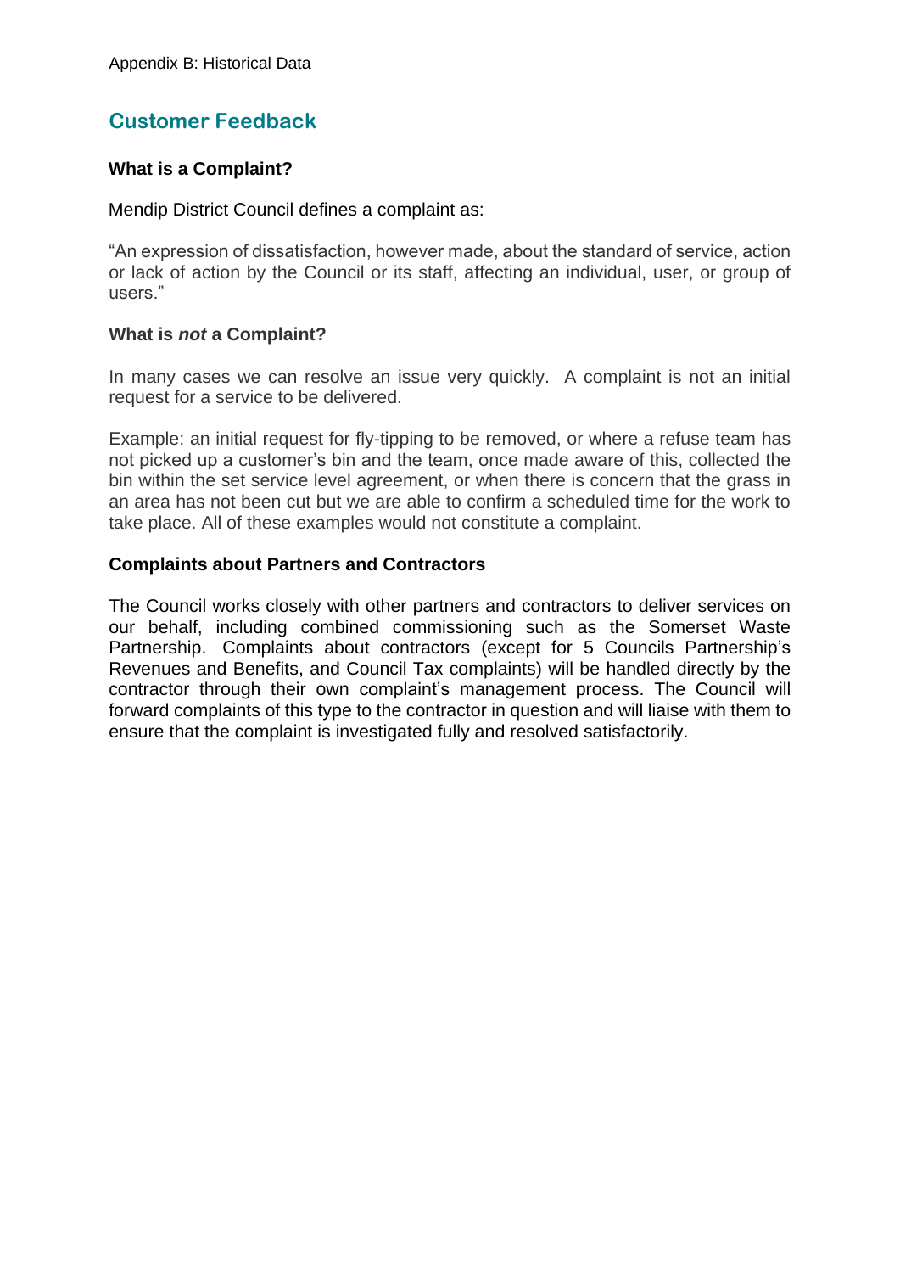# **Customer Feedback**

#### **What is a Complaint?**

#### Mendip District Council defines a complaint as:

"An expression of dissatisfaction, however made, about the standard of service, action or lack of action by the Council or its staff, affecting an individual, user, or group of users."

#### **What is** *not* **a Complaint?**

In many cases we can resolve an issue very quickly. A complaint is not an initial request for a service to be delivered.

Example: an initial request for fly-tipping to be removed, or where a refuse team has not picked up a customer's bin and the team, once made aware of this, collected the bin within the set service level agreement, or when there is concern that the grass in an area has not been cut but we are able to confirm a scheduled time for the work to take place. All of these examples would not constitute a complaint.

#### **Complaints about Partners and Contractors**

The Council works closely with other partners and contractors to deliver services on our behalf, including combined commissioning such as the Somerset Waste Partnership. Complaints about contractors (except for 5 Councils Partnership's Revenues and Benefits, and Council Tax complaints) will be handled directly by the contractor through their own complaint's management process. The Council will forward complaints of this type to the contractor in question and will liaise with them to ensure that the complaint is investigated fully and resolved satisfactorily.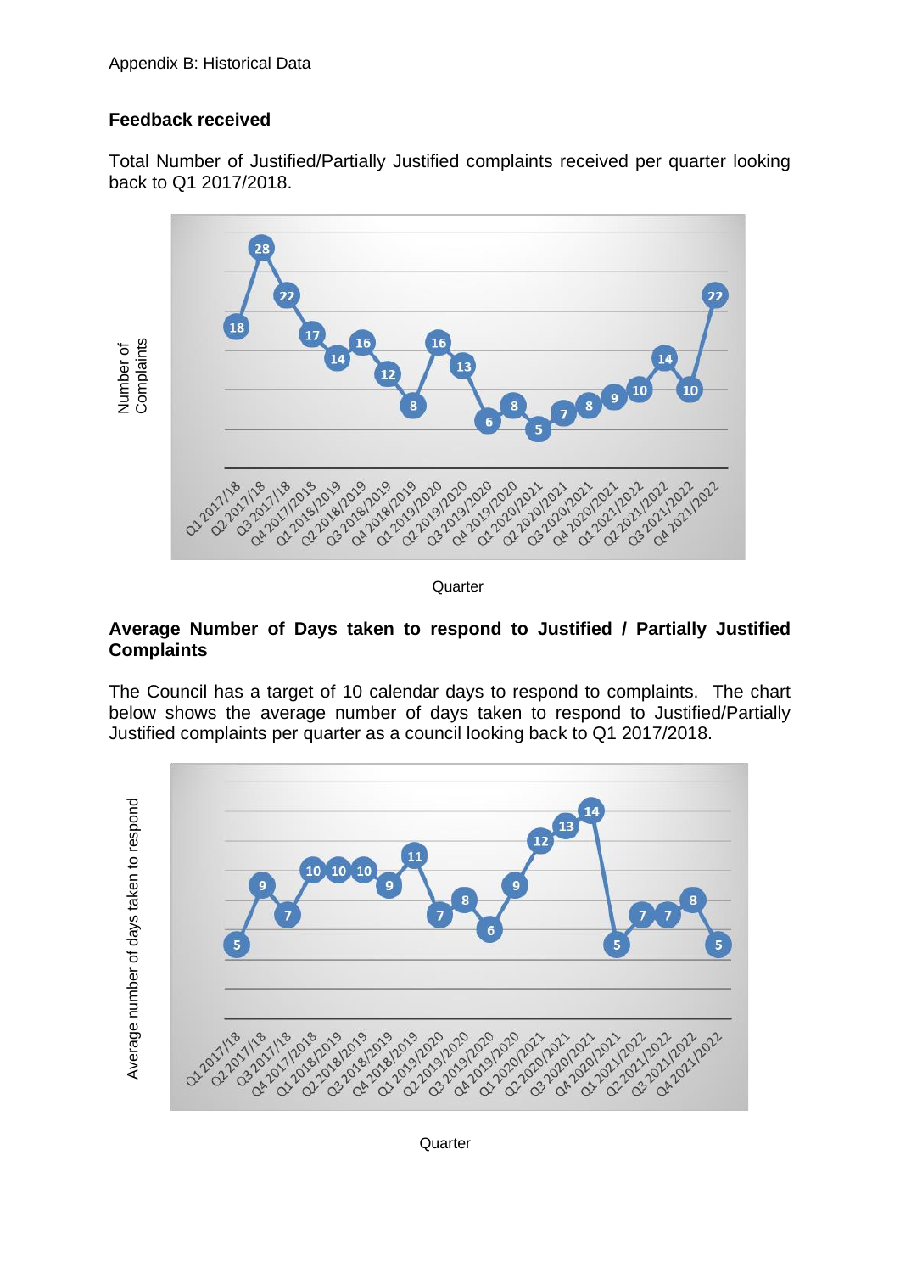## **Feedback received**

Total Number of Justified/Partially Justified complaints received per quarter looking back to Q1 2017/2018.



**Quarter** 

#### **Average Number of Days taken to respond to Justified / Partially Justified Complaints**

The Council has a target of 10 calendar days to respond to complaints. The chart below shows the average number of days taken to respond to Justified/Partially Justified complaints per quarter as a council looking back to Q1 2017/2018.

Average number of days taken to respond Average number of days taken to respond



**Quarter**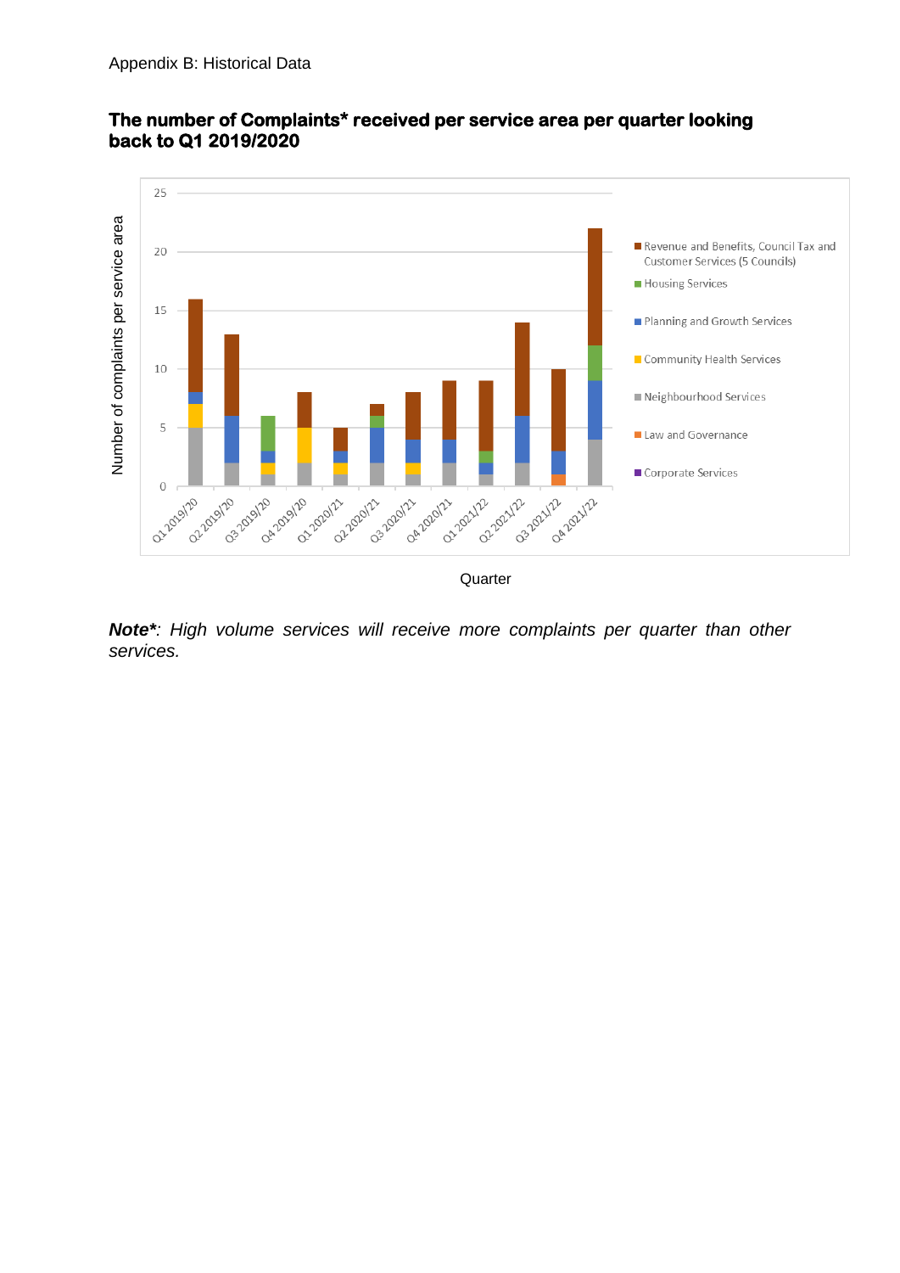

#### **The number of Complaints\* received per service area per quarter looking back to Q1 2019/2020**

**Quarter** 

*Note\*: High volume services will receive more complaints per quarter than other services.*